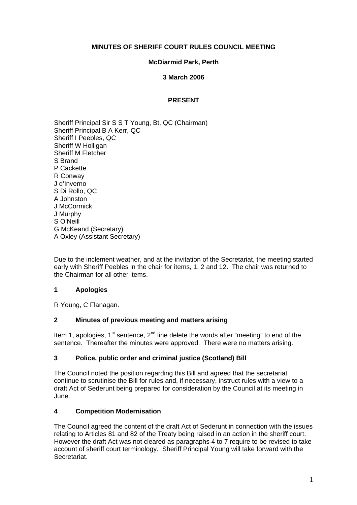### **MINUTES OF SHERIFF COURT RULES COUNCIL MEETING**

### **McDiarmid Park, Perth**

#### **3 March 2006**

### **PRESENT**

Sheriff Principal Sir S S T Young, Bt, QC (Chairman) Sheriff Principal B A Kerr, QC Sheriff I Peebles, QC Sheriff W Holligan Sheriff M Fletcher S Brand P Cackette R Conway J d'Inverno S Di Rollo, QC A Johnston J McCormick J Murphy S O'Neill G McKeand (Secretary) A Oxley (Assistant Secretary)

Due to the inclement weather, and at the invitation of the Secretariat, the meeting started early with Sheriff Peebles in the chair for items, 1, 2 and 12. The chair was returned to the Chairman for all other items.

## **1 Apologies**

R Young, C Flanagan.

#### **2 Minutes of previous meeting and matters arising**

Item 1, apologies,  $1<sup>st</sup>$  sentence,  $2<sup>nd</sup>$  line delete the words after "meeting" to end of the sentence. Thereafter the minutes were approved. There were no matters arising.

#### **3 Police, public order and criminal justice (Scotland) Bill**

The Council noted the position regarding this Bill and agreed that the secretariat continue to scrutinise the Bill for rules and, if necessary, instruct rules with a view to a draft Act of Sederunt being prepared for consideration by the Council at its meeting in June.

## **4 Competition Modernisation**

The Council agreed the content of the draft Act of Sederunt in connection with the issues relating to Articles 81 and 82 of the Treaty being raised in an action in the sheriff court. However the draft Act was not cleared as paragraphs 4 to 7 require to be revised to take account of sheriff court terminology. Sheriff Principal Young will take forward with the Secretariat.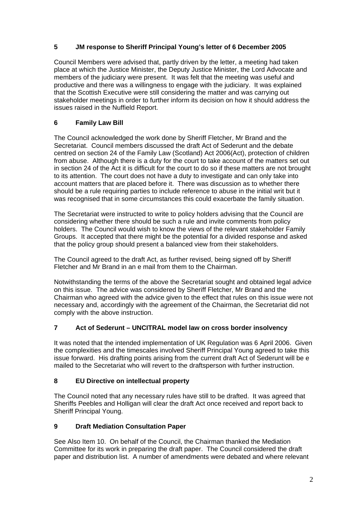# **5 JM response to Sheriff Principal Young's letter of 6 December 2005**

Council Members were advised that, partly driven by the letter, a meeting had taken place at which the Justice Minister, the Deputy Justice Minister, the Lord Advocate and members of the judiciary were present. It was felt that the meeting was useful and productive and there was a willingness to engage with the judiciary. It was explained that the Scottish Executive were still considering the matter and was carrying out stakeholder meetings in order to further inform its decision on how it should address the issues raised in the Nuffield Report.

# **6 Family Law Bill**

The Council acknowledged the work done by Sheriff Fletcher, Mr Brand and the Secretariat. Council members discussed the draft Act of Sederunt and the debate centred on section 24 of the Family Law (Scotland) Act 2006(Act), protection of children from abuse. Although there is a duty for the court to take account of the matters set out in section 24 of the Act it is difficult for the court to do so if these matters are not brought to its attention. The court does not have a duty to investigate and can only take into account matters that are placed before it. There was discussion as to whether there should be a rule requiring parties to include reference to abuse in the initial writ but it was recognised that in some circumstances this could exacerbate the family situation.

The Secretariat were instructed to write to policy holders advising that the Council are considering whether there should be such a rule and invite comments from policy holders. The Council would wish to know the views of the relevant stakeholder Family Groups. It accepted that there might be the potential for a divided response and asked that the policy group should present a balanced view from their stakeholders.

The Council agreed to the draft Act, as further revised, being signed off by Sheriff Fletcher and Mr Brand in an e mail from them to the Chairman.

Notwithstanding the terms of the above the Secretariat sought and obtained legal advice on this issue. The advice was considered by Sheriff Fletcher, Mr Brand and the Chairman who agreed with the advice given to the effect that rules on this issue were not necessary and, accordingly with the agreement of the Chairman, the Secretariat did not comply with the above instruction.

## **7 Act of Sederunt – UNCITRAL model law on cross border insolvency**

It was noted that the intended implementation of UK Regulation was 6 April 2006. Given the complexities and the timescales involved Sheriff Principal Young agreed to take this issue forward. His drafting points arising from the current draft Act of Sederunt will be e mailed to the Secretariat who will revert to the draftsperson with further instruction.

## **8 EU Directive on intellectual property**

The Council noted that any necessary rules have still to be drafted. It was agreed that Sheriffs Peebles and Holligan will clear the draft Act once received and report back to Sheriff Principal Young.

## **9 Draft Mediation Consultation Paper**

See Also Item 10. On behalf of the Council, the Chairman thanked the Mediation Committee for its work in preparing the draft paper. The Council considered the draft paper and distribution list. A number of amendments were debated and where relevant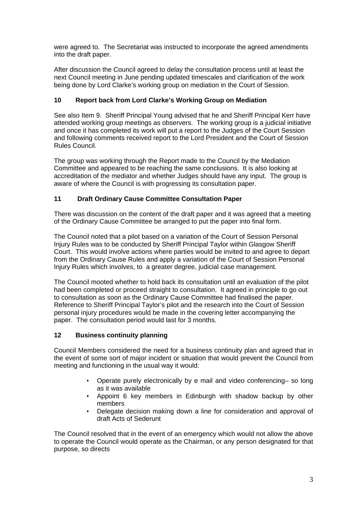were agreed to. The Secretariat was instructed to incorporate the agreed amendments into the draft paper.

After discussion the Council agreed to delay the consultation process until at least the next Council meeting in June pending updated timescales and clarification of the work being done by Lord Clarke's working group on mediation in the Court of Session.

# **10 Report back from Lord Clarke's Working Group on Mediation**

See also Item 9. Sheriff Principal Young advised that he and Sheriff Principal Kerr have attended working group meetings as observers. The working group is a judicial initiative and once it has completed its work will put a report to the Judges of the Court Session and following comments received report to the Lord President and the Court of Session Rules Council.

The group was working through the Report made to the Council by the Mediation Committee and appeared to be reaching the same conclusions. It is also looking at accreditation of the mediator and whether Judges should have any input. The group is aware of where the Council is with progressing its consultation paper.

## **11 Draft Ordinary Cause Committee Consultation Paper**

There was discussion on the content of the draft paper and it was agreed that a meeting of the Ordinary Cause Committee be arranged to put the paper into final form.

The Council noted that a pilot based on a variation of the Court of Session Personal Injury Rules was to be conducted by Sheriff Principal Taylor within Glasgow Sheriff Court. This would involve actions where parties would be invited to and agree to depart from the Ordinary Cause Rules and apply a variation of the Court of Session Personal Injury Rules which involves, to a greater degree, judicial case management.

The Council mooted whether to hold back its consultation until an evaluation of the pilot had been completed or proceed straight to consultation. It agreed in principle to go out to consultation as soon as the Ordinary Cause Committee had finalised the paper. Reference to Sheriff Principal Taylor's pilot and the research into the Court of Session personal injury procedures would be made in the covering letter accompanying the paper. The consultation period would last for 3 months.

## **12 Business continuity planning**

Council Members considered the need for a business continuity plan and agreed that in the event of some sort of major incident or situation that would prevent the Council from meeting and functioning in the usual way it would:

- Operate purely electronically by e mail and video conferencing– so long as it was available
- Appoint 6 key members in Edinburgh with shadow backup by other members
- Delegate decision making down a line for consideration and approval of draft Acts of Sederunt

The Council resolved that in the event of an emergency which would not allow the above to operate the Council would operate as the Chairman, or any person designated for that purpose, so directs